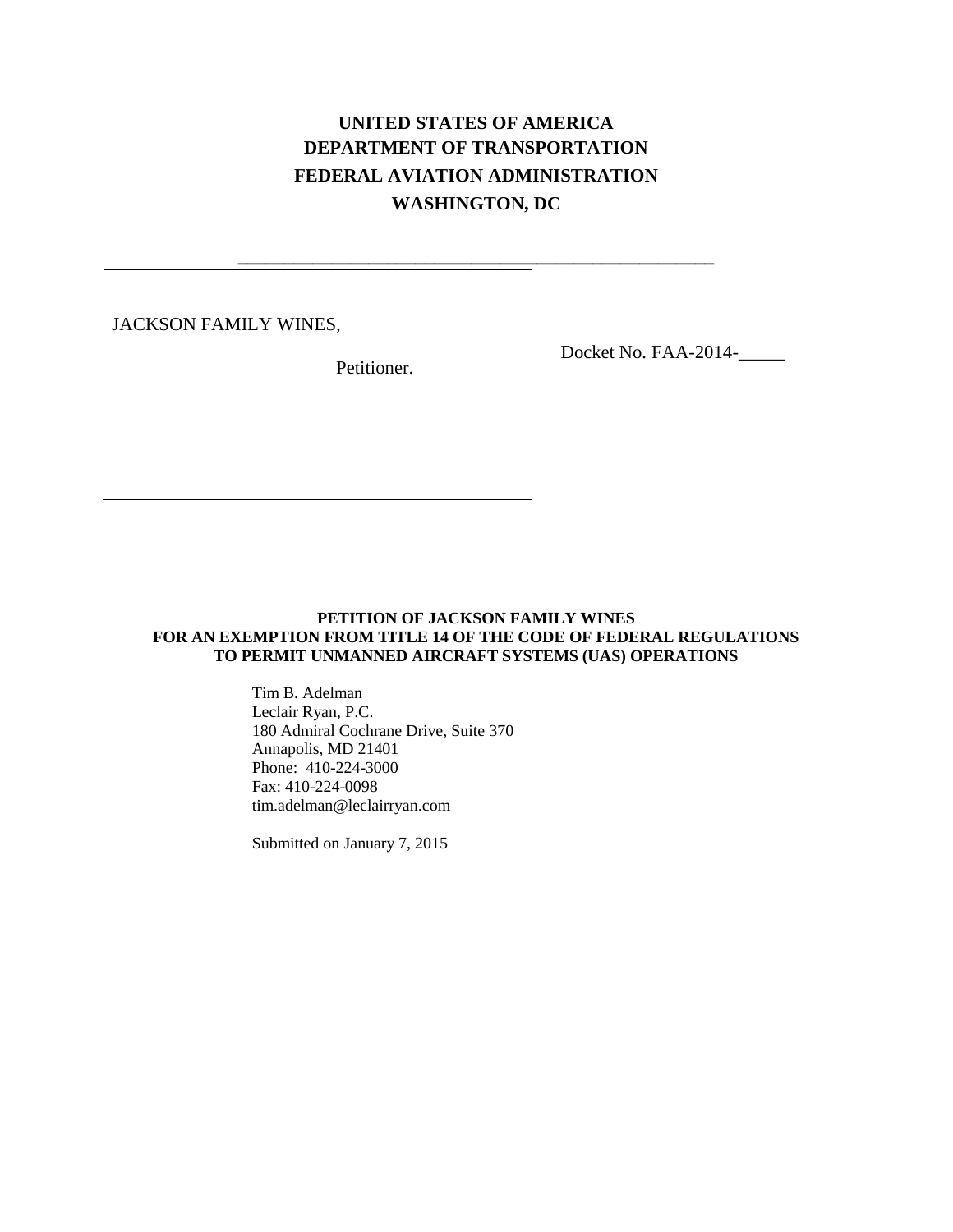# **UNITED STATES OF AMERICA DEPARTMENT OF TRANSPORTATION FEDERAL AVIATION ADMINISTRATION WASHINGTON, DC**

**\_\_\_\_\_\_\_\_\_\_\_\_\_\_\_\_\_\_\_\_\_\_\_\_\_\_\_\_\_\_\_\_\_\_\_\_\_\_\_\_\_\_\_\_\_\_\_\_\_\_\_**

JACKSON FAMILY WINES,

Petitioner.

Docket No. FAA-2014-\_\_\_\_\_

## **PETITION OF JACKSON FAMILY WINES FOR AN EXEMPTION FROM TITLE 14 OF THE CODE OF FEDERAL REGULATIONS TO PERMIT UNMANNED AIRCRAFT SYSTEMS (UAS) OPERATIONS**

Tim B. Adelman Leclair Ryan, P.C. 180 Admiral Cochrane Drive, Suite 370 Annapolis, MD 21401 Phone: 410-224-3000 Fax: 410-224-0098 tim.adelman@leclairryan.com

Submitted on January 7, 2015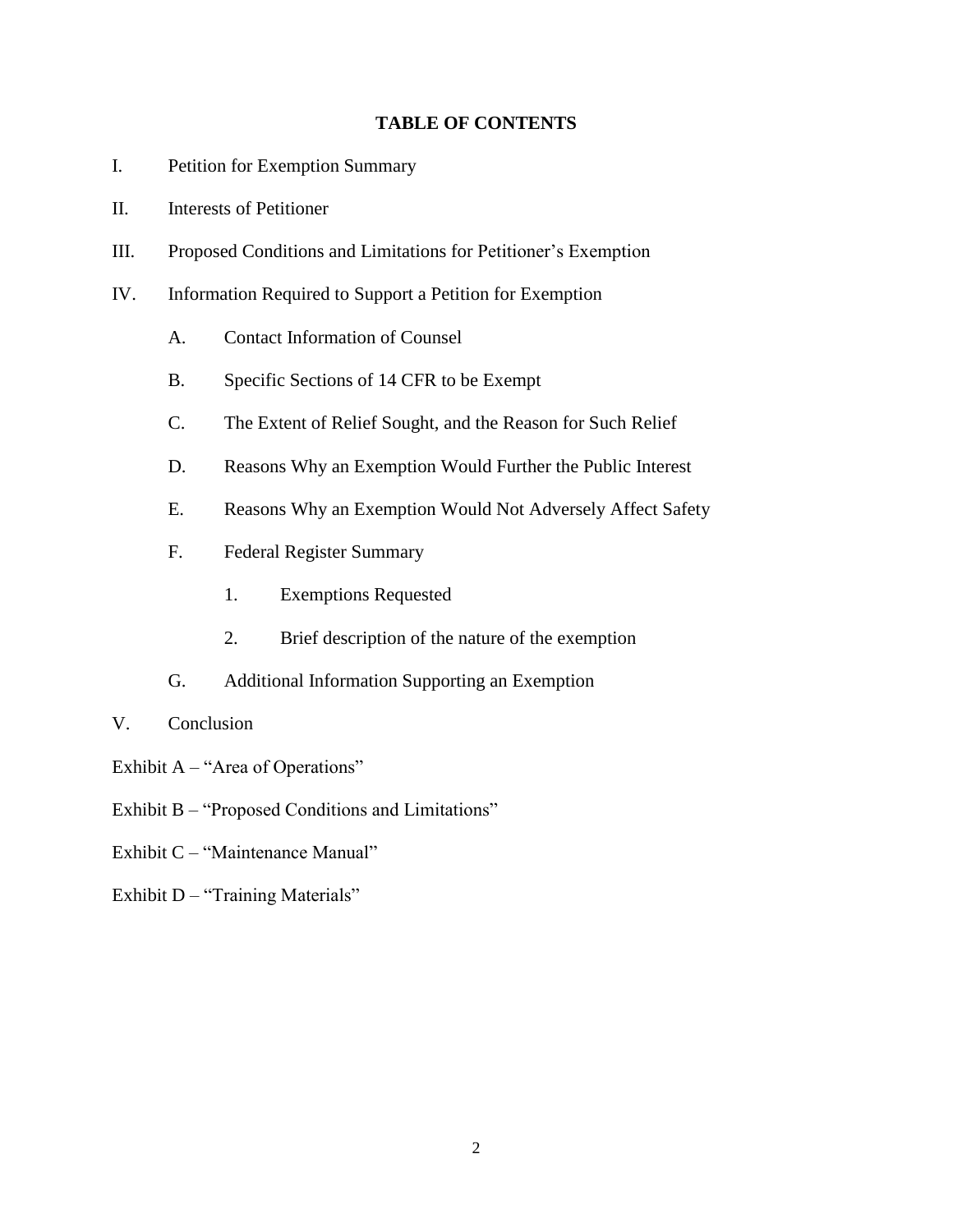# **TABLE OF CONTENTS**

- I. Petition for Exemption Summary
- II. Interests of Petitioner
- III. Proposed Conditions and Limitations for Petitioner's Exemption
- IV. Information Required to Support a Petition for Exemption
	- A. Contact Information of Counsel
	- B. Specific Sections of 14 CFR to be Exempt
	- C. The Extent of Relief Sought, and the Reason for Such Relief
	- D. Reasons Why an Exemption Would Further the Public Interest
	- E. Reasons Why an Exemption Would Not Adversely Affect Safety
	- F. Federal Register Summary
		- 1. Exemptions Requested
		- 2. Brief description of the nature of the exemption
	- G. Additional Information Supporting an Exemption
- V. Conclusion
- Exhibit  $A "Area of Operations"$
- Exhibit B "Proposed Conditions and Limitations"
- Exhibit C "Maintenance Manual"
- Exhibit  $D -$  "Training Materials"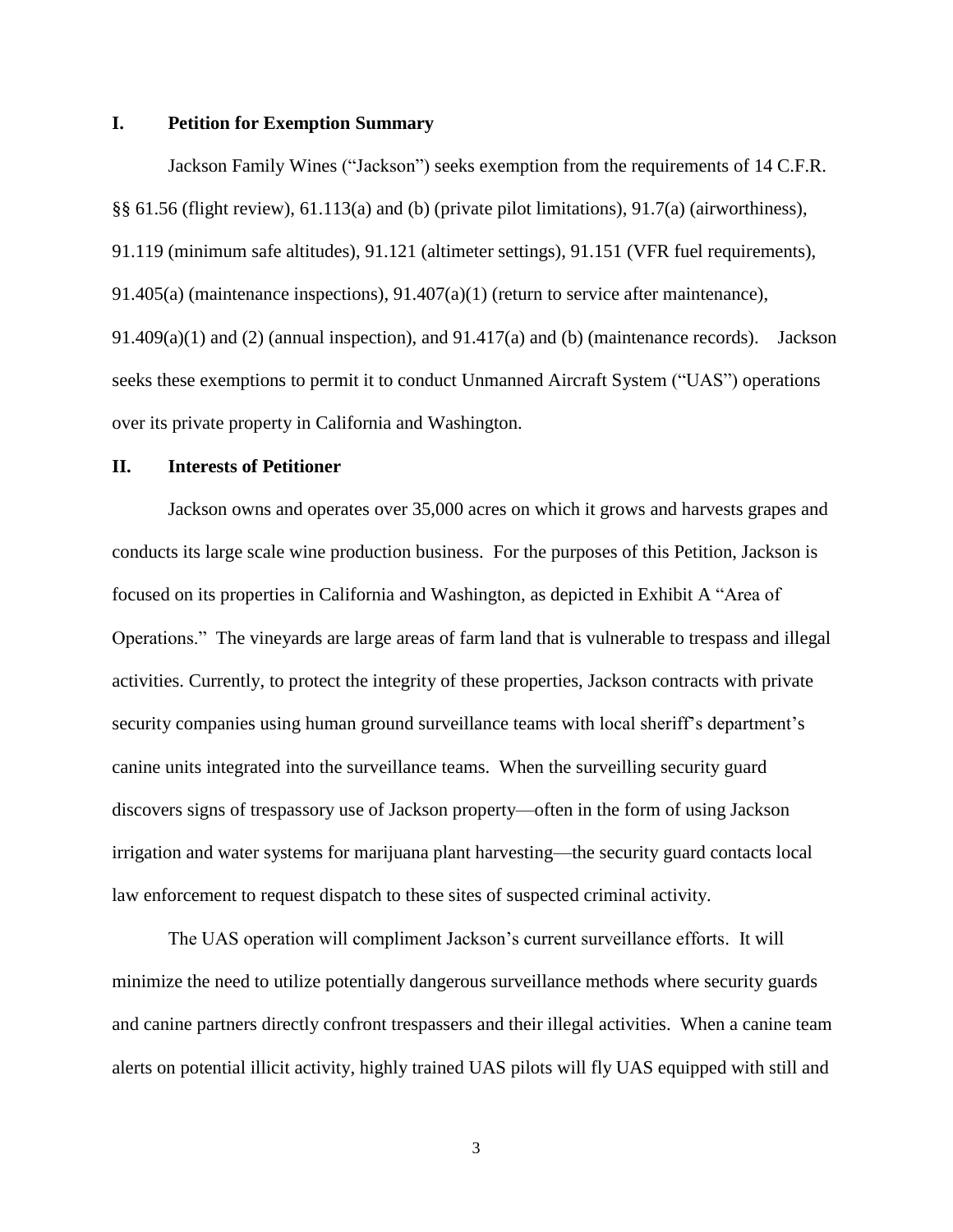# **I. Petition for Exemption Summary**

Jackson Family Wines ("Jackson") seeks exemption from the requirements of 14 C.F.R. §§ 61.56 (flight review), 61.113(a) and (b) (private pilot limitations), 91.7(a) (airworthiness), 91.119 (minimum safe altitudes), 91.121 (altimeter settings), 91.151 (VFR fuel requirements), 91.405(a) (maintenance inspections), 91.407(a)(1) (return to service after maintenance), 91.409(a)(1) and (2) (annual inspection), and  $91.417(a)$  and (b) (maintenance records). Jackson seeks these exemptions to permit it to conduct Unmanned Aircraft System ("UAS") operations over its private property in California and Washington.

#### **II. Interests of Petitioner**

Jackson owns and operates over 35,000 acres on which it grows and harvests grapes and conducts its large scale wine production business. For the purposes of this Petition, Jackson is focused on its properties in California and Washington, as depicted in Exhibit A "Area of Operations." The vineyards are large areas of farm land that is vulnerable to trespass and illegal activities. Currently, to protect the integrity of these properties, Jackson contracts with private security companies using human ground surveillance teams with local sheriff's department's canine units integrated into the surveillance teams. When the surveilling security guard discovers signs of trespassory use of Jackson property—often in the form of using Jackson irrigation and water systems for marijuana plant harvesting—the security guard contacts local law enforcement to request dispatch to these sites of suspected criminal activity.

The UAS operation will compliment Jackson's current surveillance efforts. It will minimize the need to utilize potentially dangerous surveillance methods where security guards and canine partners directly confront trespassers and their illegal activities. When a canine team alerts on potential illicit activity, highly trained UAS pilots will fly UAS equipped with still and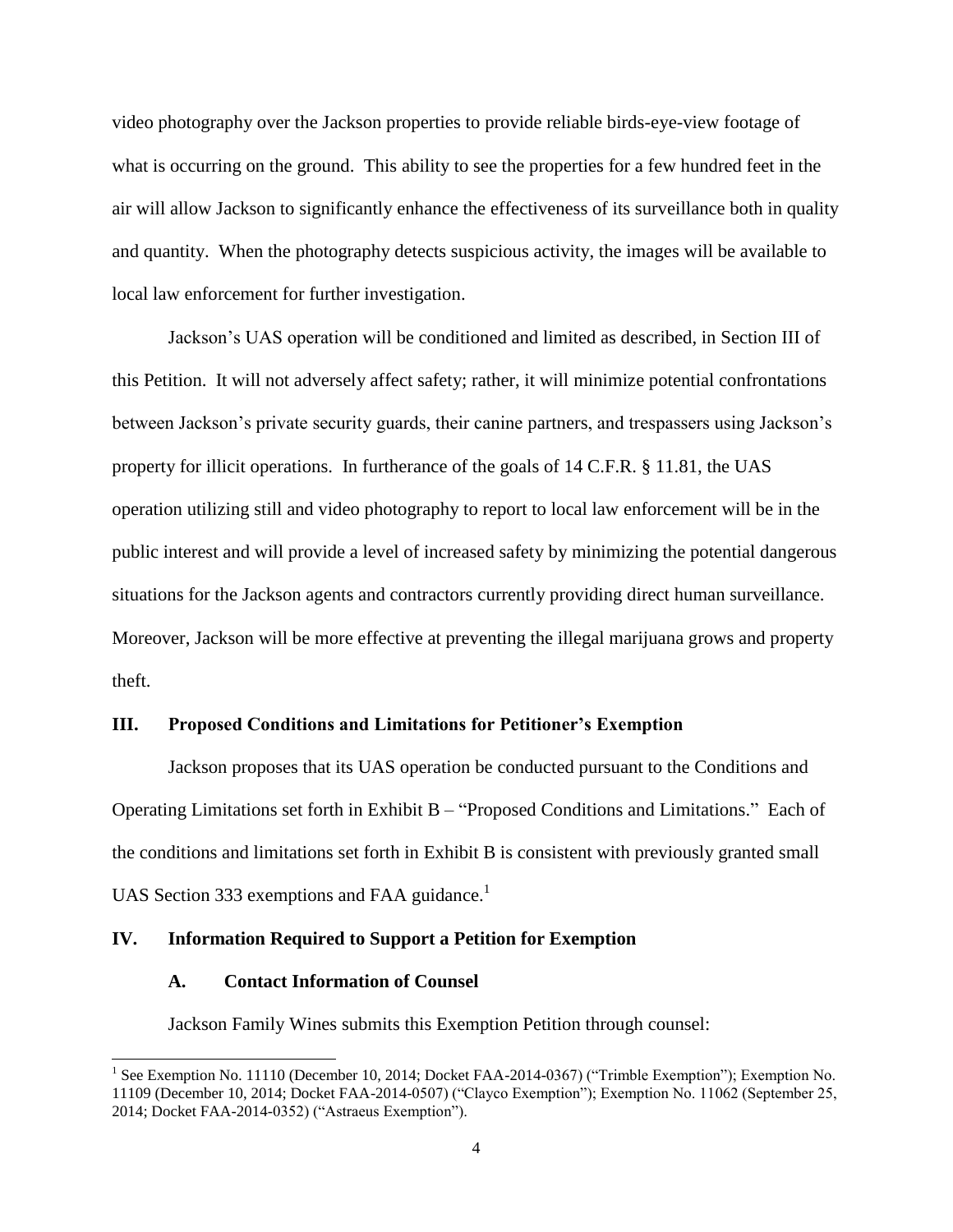video photography over the Jackson properties to provide reliable birds-eye-view footage of what is occurring on the ground. This ability to see the properties for a few hundred feet in the air will allow Jackson to significantly enhance the effectiveness of its surveillance both in quality and quantity. When the photography detects suspicious activity, the images will be available to local law enforcement for further investigation.

Jackson's UAS operation will be conditioned and limited as described, in Section III of this Petition. It will not adversely affect safety; rather, it will minimize potential confrontations between Jackson's private security guards, their canine partners, and trespassers using Jackson's property for illicit operations. In furtherance of the goals of 14 C.F.R. § 11.81, the UAS operation utilizing still and video photography to report to local law enforcement will be in the public interest and will provide a level of increased safety by minimizing the potential dangerous situations for the Jackson agents and contractors currently providing direct human surveillance. Moreover, Jackson will be more effective at preventing the illegal marijuana grows and property theft.

# **III. Proposed Conditions and Limitations for Petitioner's Exemption**

Jackson proposes that its UAS operation be conducted pursuant to the Conditions and Operating Limitations set forth in Exhibit B – "Proposed Conditions and Limitations." Each of the conditions and limitations set forth in Exhibit B is consistent with previously granted small UAS Section 333 exemptions and FAA guidance.<sup>1</sup>

# **IV. Information Required to Support a Petition for Exemption**

# **A. Contact Information of Counsel**

l

Jackson Family Wines submits this Exemption Petition through counsel:

<sup>&</sup>lt;sup>1</sup> See Exemption No. 11110 (December 10, 2014; Docket FAA-2014-0367) ("Trimble Exemption"); Exemption No. 11109 (December 10, 2014; Docket FAA-2014-0507) ("Clayco Exemption"); Exemption No. 11062 (September 25, 2014; Docket FAA-2014-0352) ("Astraeus Exemption").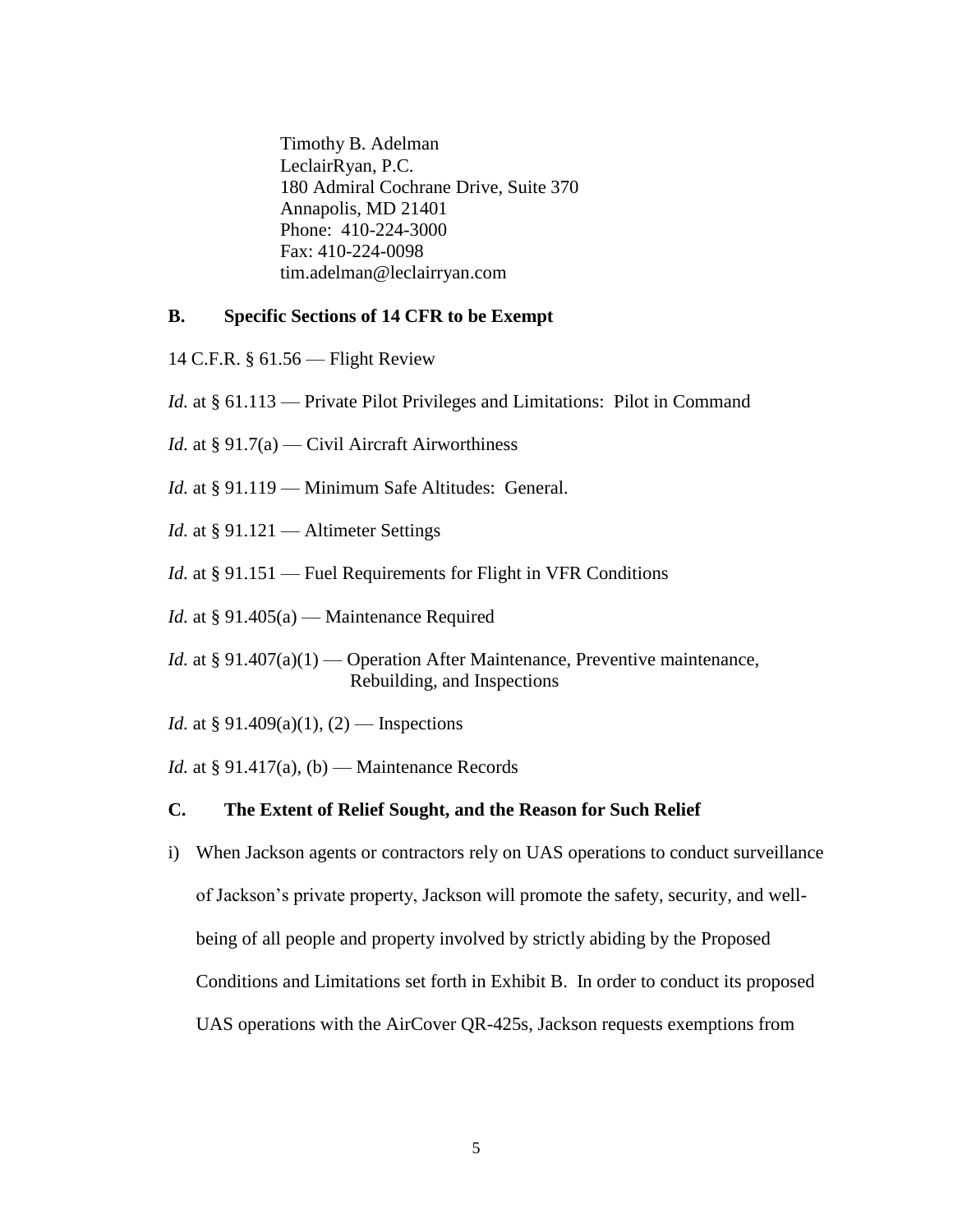Timothy B. Adelman LeclairRyan, P.C. 180 Admiral Cochrane Drive, Suite 370 Annapolis, MD 21401 Phone: 410-224-3000 Fax: 410-224-0098 tim.adelman@leclairryan.com

# **B. Specific Sections of 14 CFR to be Exempt**

- 14 C.F.R. § 61.56 Flight Review
- *Id.* at § 61.113 Private Pilot Privileges and Limitations: Pilot in Command
- *Id.* at § 91.7(a) Civil Aircraft Airworthiness
- *Id.* at § 91.119 Minimum Safe Altitudes: General.
- *Id.* at § 91.121 Altimeter Settings
- *Id.* at § 91.151 Fuel Requirements for Flight in VFR Conditions
- *Id.* at § 91.405(a) Maintenance Required
- *Id.* at § 91.407(a)(1) Operation After Maintenance, Preventive maintenance, Rebuilding, and Inspections
- *Id.* at § 91.409(a)(1), (2) Inspections
- *Id.* at  $\S 91.417(a)$ , (b) Maintenance Records

# **C. The Extent of Relief Sought, and the Reason for Such Relief**

i) When Jackson agents or contractors rely on UAS operations to conduct surveillance of Jackson's private property, Jackson will promote the safety, security, and wellbeing of all people and property involved by strictly abiding by the Proposed Conditions and Limitations set forth in Exhibit B. In order to conduct its proposed UAS operations with the AirCover QR-425s, Jackson requests exemptions from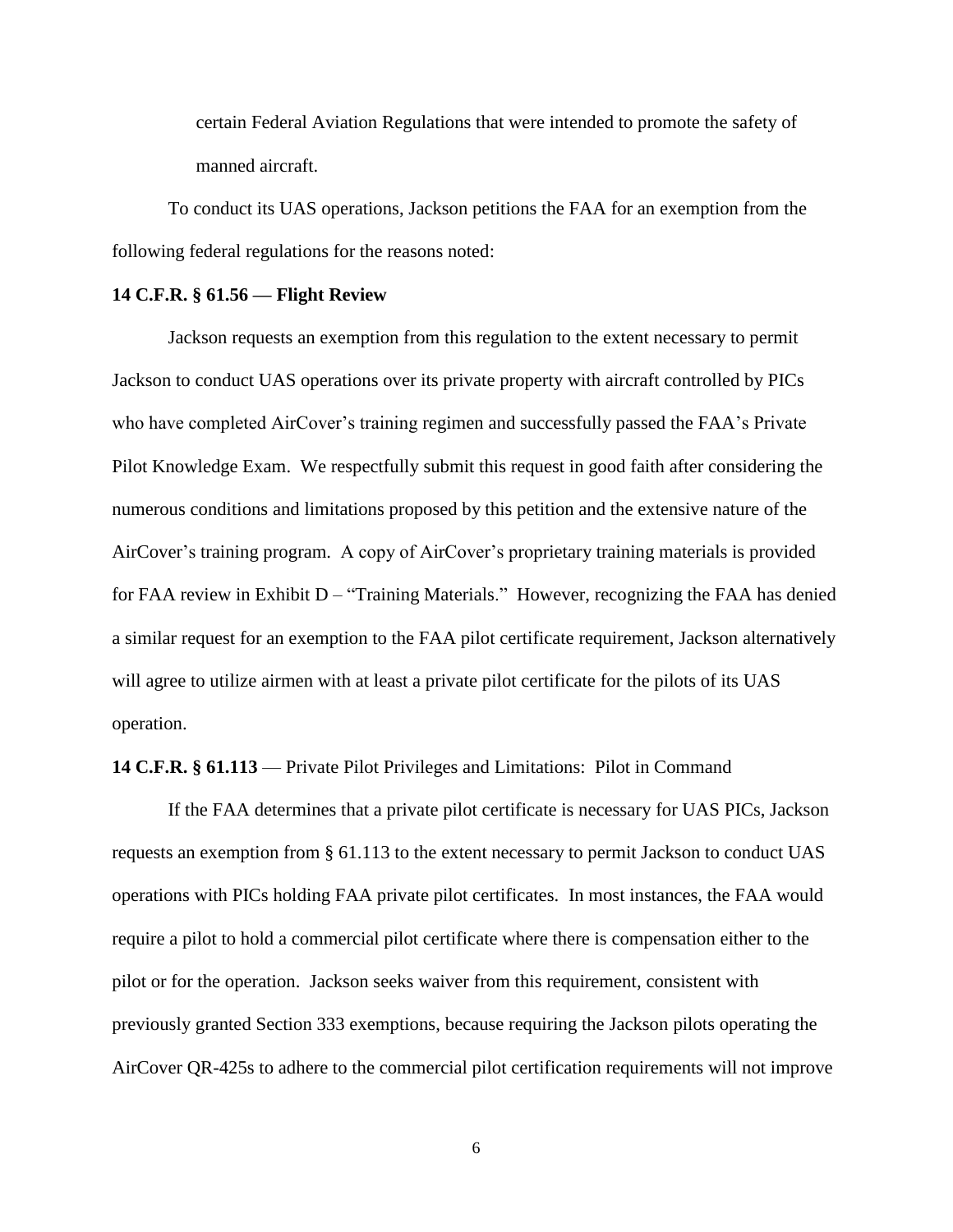certain Federal Aviation Regulations that were intended to promote the safety of manned aircraft.

To conduct its UAS operations, Jackson petitions the FAA for an exemption from the following federal regulations for the reasons noted:

# **14 C.F.R. § 61.56 — Flight Review**

Jackson requests an exemption from this regulation to the extent necessary to permit Jackson to conduct UAS operations over its private property with aircraft controlled by PICs who have completed AirCover's training regimen and successfully passed the FAA's Private Pilot Knowledge Exam. We respectfully submit this request in good faith after considering the numerous conditions and limitations proposed by this petition and the extensive nature of the AirCover's training program. A copy of AirCover's proprietary training materials is provided for FAA review in Exhibit D – "Training Materials." However, recognizing the FAA has denied a similar request for an exemption to the FAA pilot certificate requirement, Jackson alternatively will agree to utilize airmen with at least a private pilot certificate for the pilots of its UAS operation.

# **14 C.F.R. § 61.113** — Private Pilot Privileges and Limitations: Pilot in Command

If the FAA determines that a private pilot certificate is necessary for UAS PICs, Jackson requests an exemption from § 61.113 to the extent necessary to permit Jackson to conduct UAS operations with PICs holding FAA private pilot certificates. In most instances, the FAA would require a pilot to hold a commercial pilot certificate where there is compensation either to the pilot or for the operation. Jackson seeks waiver from this requirement, consistent with previously granted Section 333 exemptions, because requiring the Jackson pilots operating the AirCover QR-425s to adhere to the commercial pilot certification requirements will not improve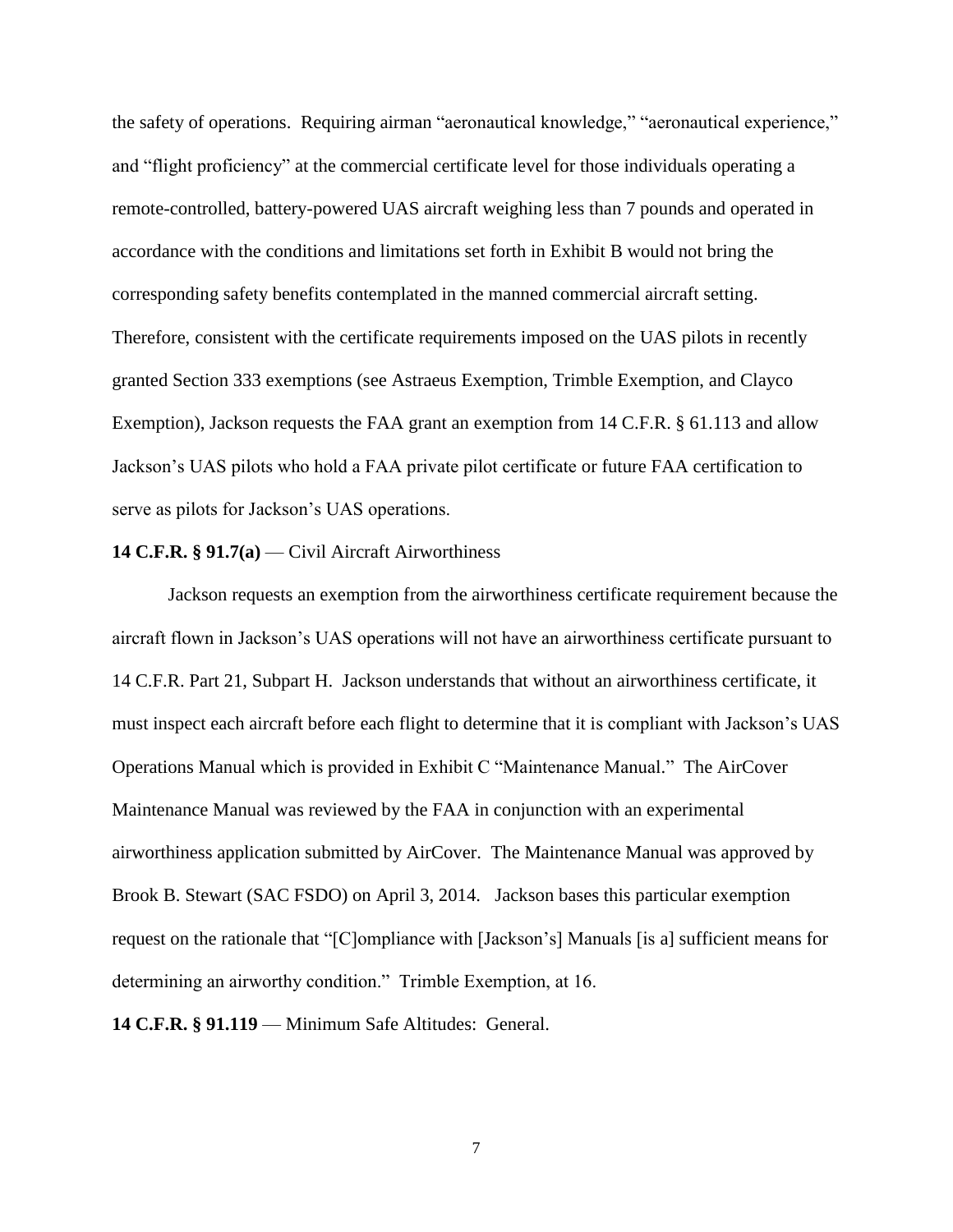the safety of operations. Requiring airman "aeronautical knowledge," "aeronautical experience," and "flight proficiency" at the commercial certificate level for those individuals operating a remote-controlled, battery-powered UAS aircraft weighing less than 7 pounds and operated in accordance with the conditions and limitations set forth in Exhibit B would not bring the corresponding safety benefits contemplated in the manned commercial aircraft setting. Therefore, consistent with the certificate requirements imposed on the UAS pilots in recently granted Section 333 exemptions (see Astraeus Exemption, Trimble Exemption, and Clayco Exemption), Jackson requests the FAA grant an exemption from 14 C.F.R. § 61.113 and allow Jackson's UAS pilots who hold a FAA private pilot certificate or future FAA certification to serve as pilots for Jackson's UAS operations.

## **14 C.F.R. § 91.7(a)** — Civil Aircraft Airworthiness

Jackson requests an exemption from the airworthiness certificate requirement because the aircraft flown in Jackson's UAS operations will not have an airworthiness certificate pursuant to 14 C.F.R. Part 21, Subpart H. Jackson understands that without an airworthiness certificate, it must inspect each aircraft before each flight to determine that it is compliant with Jackson's UAS Operations Manual which is provided in Exhibit C "Maintenance Manual." The AirCover Maintenance Manual was reviewed by the FAA in conjunction with an experimental airworthiness application submitted by AirCover. The Maintenance Manual was approved by Brook B. Stewart (SAC FSDO) on April 3, 2014. Jackson bases this particular exemption request on the rationale that "[C]ompliance with [Jackson's] Manuals [is a] sufficient means for determining an airworthy condition." Trimble Exemption, at 16.

**14 C.F.R. § 91.119** — Minimum Safe Altitudes: General.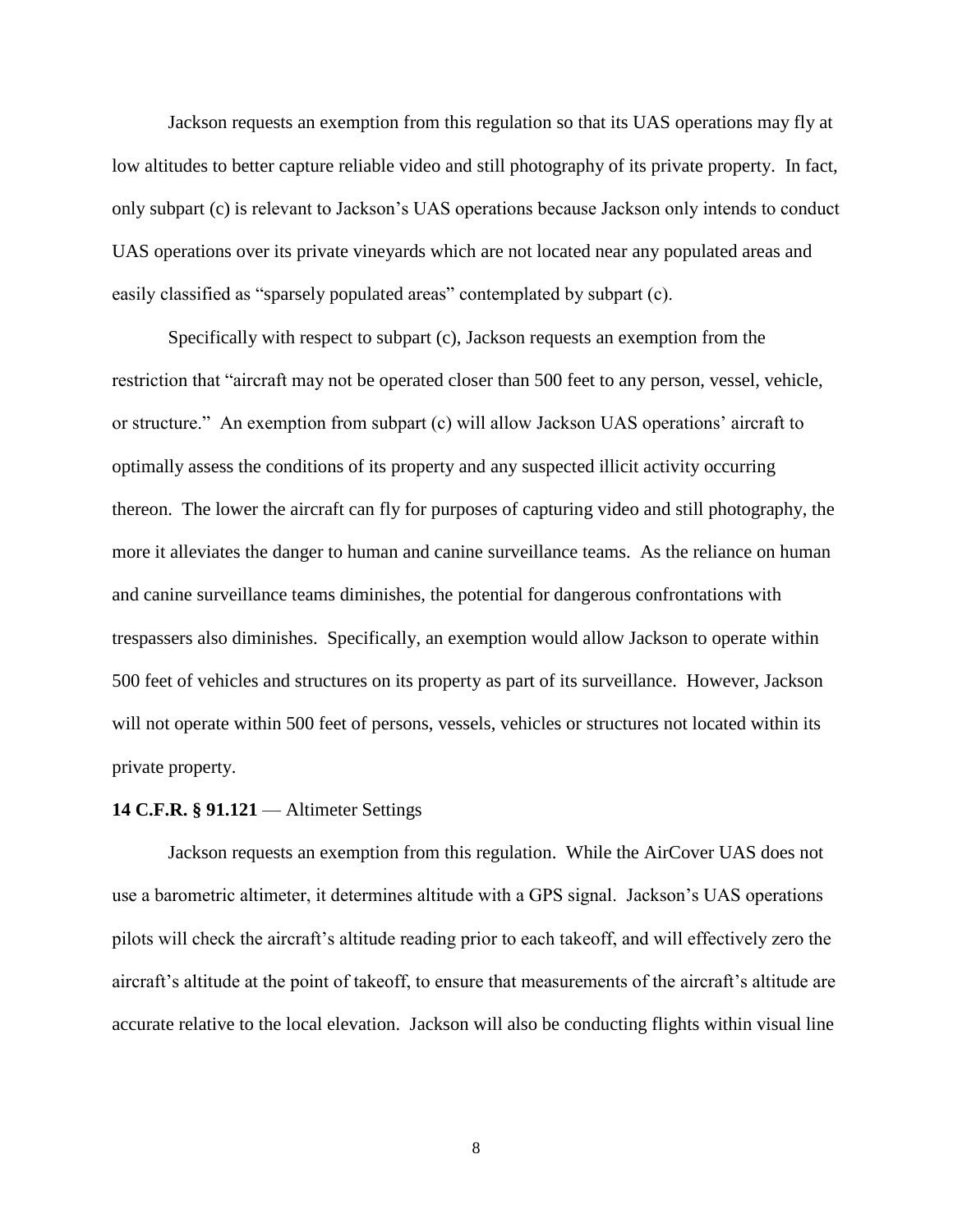Jackson requests an exemption from this regulation so that its UAS operations may fly at low altitudes to better capture reliable video and still photography of its private property. In fact, only subpart (c) is relevant to Jackson's UAS operations because Jackson only intends to conduct UAS operations over its private vineyards which are not located near any populated areas and easily classified as "sparsely populated areas" contemplated by subpart (c).

Specifically with respect to subpart (c), Jackson requests an exemption from the restriction that "aircraft may not be operated closer than 500 feet to any person, vessel, vehicle, or structure." An exemption from subpart (c) will allow Jackson UAS operations' aircraft to optimally assess the conditions of its property and any suspected illicit activity occurring thereon. The lower the aircraft can fly for purposes of capturing video and still photography, the more it alleviates the danger to human and canine surveillance teams. As the reliance on human and canine surveillance teams diminishes, the potential for dangerous confrontations with trespassers also diminishes. Specifically, an exemption would allow Jackson to operate within 500 feet of vehicles and structures on its property as part of its surveillance. However, Jackson will not operate within 500 feet of persons, vessels, vehicles or structures not located within its private property.

#### **14 C.F.R. § 91.121** — Altimeter Settings

Jackson requests an exemption from this regulation. While the AirCover UAS does not use a barometric altimeter, it determines altitude with a GPS signal. Jackson's UAS operations pilots will check the aircraft's altitude reading prior to each takeoff, and will effectively zero the aircraft's altitude at the point of takeoff, to ensure that measurements of the aircraft's altitude are accurate relative to the local elevation. Jackson will also be conducting flights within visual line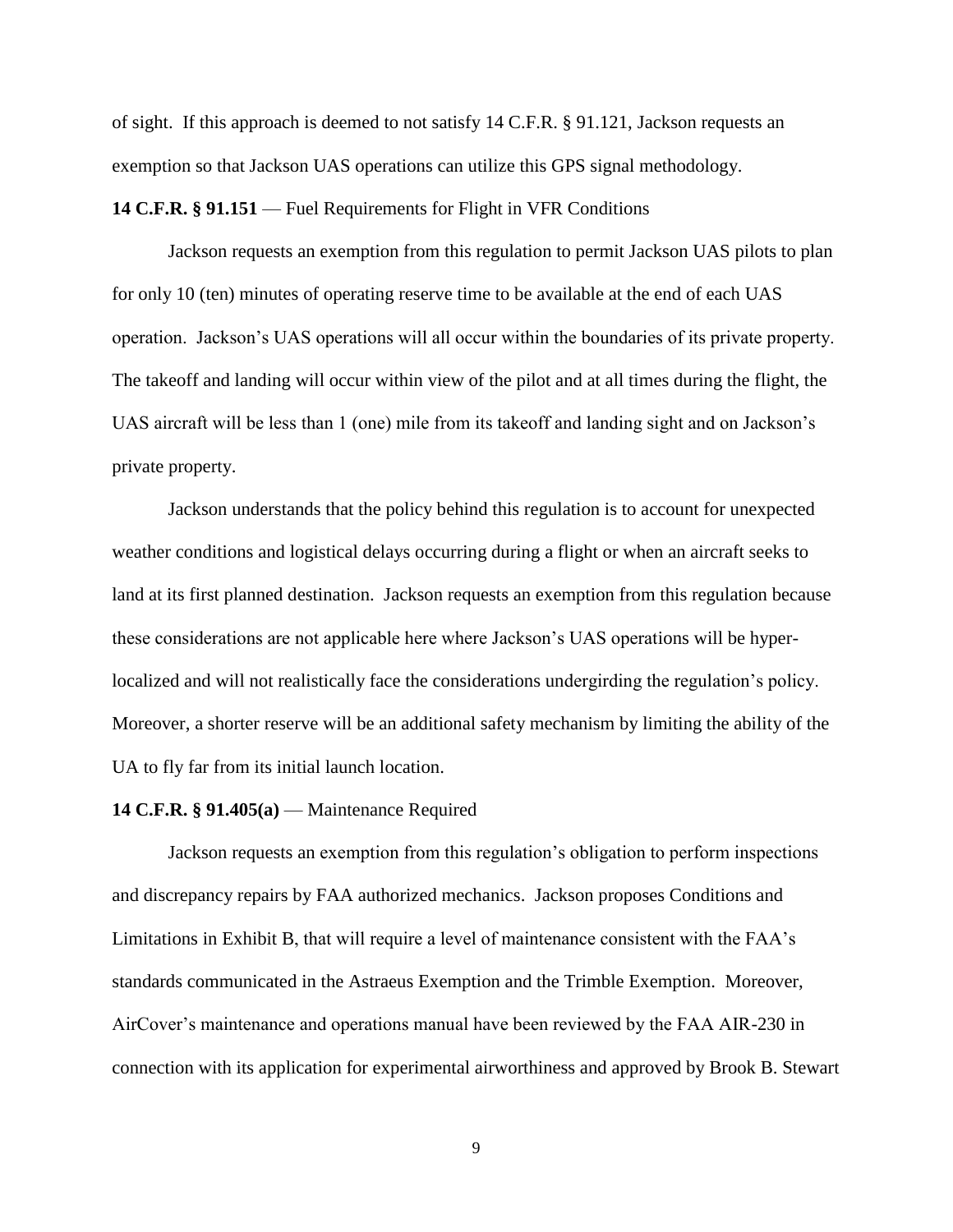of sight. If this approach is deemed to not satisfy 14 C.F.R. § 91.121, Jackson requests an exemption so that Jackson UAS operations can utilize this GPS signal methodology.

#### **14 C.F.R. § 91.151** — Fuel Requirements for Flight in VFR Conditions

Jackson requests an exemption from this regulation to permit Jackson UAS pilots to plan for only 10 (ten) minutes of operating reserve time to be available at the end of each UAS operation. Jackson's UAS operations will all occur within the boundaries of its private property. The takeoff and landing will occur within view of the pilot and at all times during the flight, the UAS aircraft will be less than 1 (one) mile from its takeoff and landing sight and on Jackson's private property.

Jackson understands that the policy behind this regulation is to account for unexpected weather conditions and logistical delays occurring during a flight or when an aircraft seeks to land at its first planned destination. Jackson requests an exemption from this regulation because these considerations are not applicable here where Jackson's UAS operations will be hyperlocalized and will not realistically face the considerations undergirding the regulation's policy. Moreover, a shorter reserve will be an additional safety mechanism by limiting the ability of the UA to fly far from its initial launch location.

#### **14 C.F.R. § 91.405(a)** — Maintenance Required

Jackson requests an exemption from this regulation's obligation to perform inspections and discrepancy repairs by FAA authorized mechanics. Jackson proposes Conditions and Limitations in Exhibit B, that will require a level of maintenance consistent with the FAA's standards communicated in the Astraeus Exemption and the Trimble Exemption. Moreover, AirCover's maintenance and operations manual have been reviewed by the FAA AIR-230 in connection with its application for experimental airworthiness and approved by Brook B. Stewart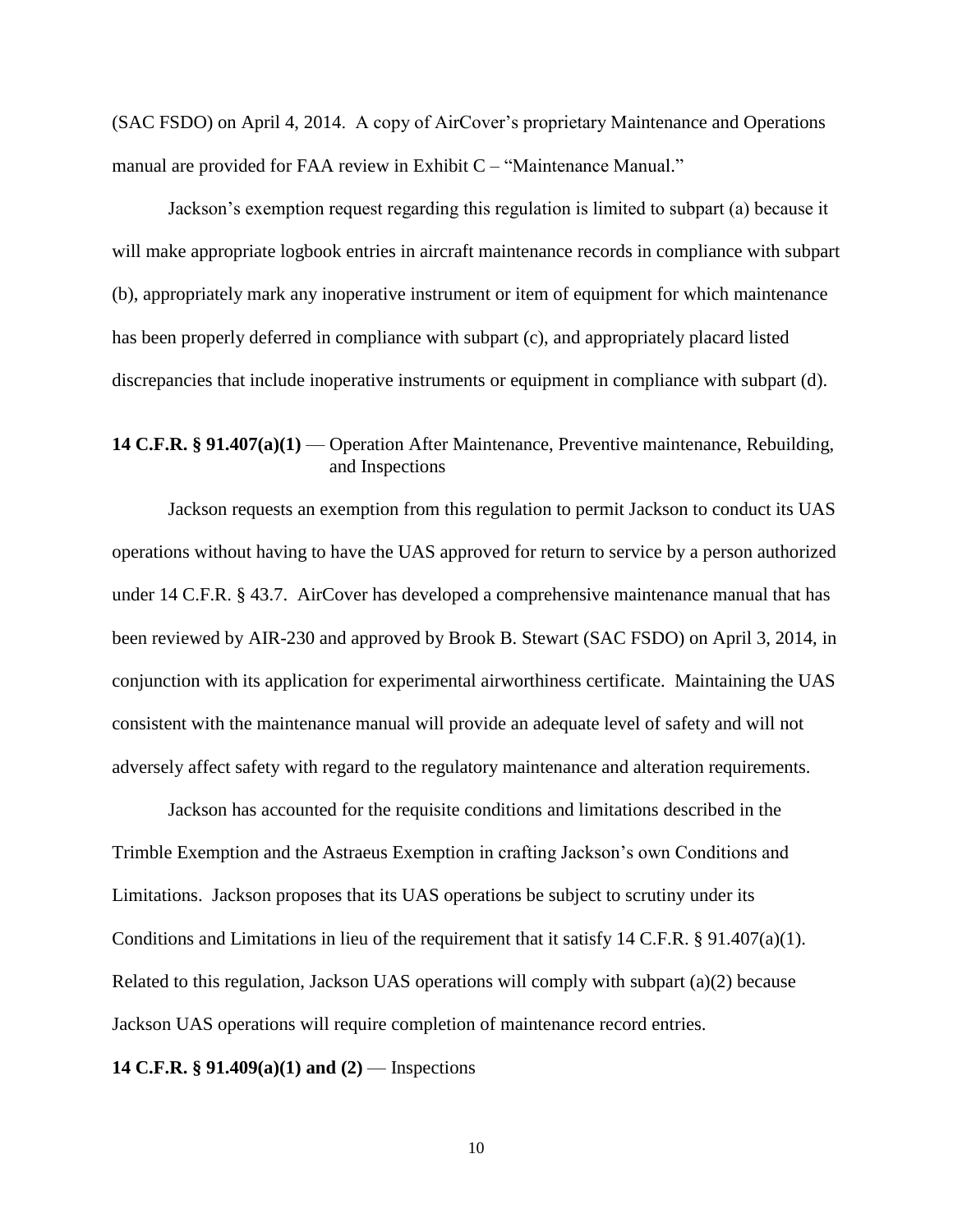(SAC FSDO) on April 4, 2014. A copy of AirCover's proprietary Maintenance and Operations manual are provided for FAA review in Exhibit C – "Maintenance Manual."

Jackson's exemption request regarding this regulation is limited to subpart (a) because it will make appropriate logbook entries in aircraft maintenance records in compliance with subpart (b), appropriately mark any inoperative instrument or item of equipment for which maintenance has been properly deferred in compliance with subpart (c), and appropriately placard listed discrepancies that include inoperative instruments or equipment in compliance with subpart (d).

# **14 C.F.R. § 91.407(a)(1)** — Operation After Maintenance, Preventive maintenance, Rebuilding, and Inspections

Jackson requests an exemption from this regulation to permit Jackson to conduct its UAS operations without having to have the UAS approved for return to service by a person authorized under 14 C.F.R. § 43.7. AirCover has developed a comprehensive maintenance manual that has been reviewed by AIR-230 and approved by Brook B. Stewart (SAC FSDO) on April 3, 2014, in conjunction with its application for experimental airworthiness certificate. Maintaining the UAS consistent with the maintenance manual will provide an adequate level of safety and will not adversely affect safety with regard to the regulatory maintenance and alteration requirements.

Jackson has accounted for the requisite conditions and limitations described in the Trimble Exemption and the Astraeus Exemption in crafting Jackson's own Conditions and Limitations. Jackson proposes that its UAS operations be subject to scrutiny under its Conditions and Limitations in lieu of the requirement that it satisfy 14 C.F.R. § 91.407(a)(1). Related to this regulation, Jackson UAS operations will comply with subpart (a)(2) because Jackson UAS operations will require completion of maintenance record entries.

#### **14 C.F.R. § 91.409(a)(1) and (2)** — Inspections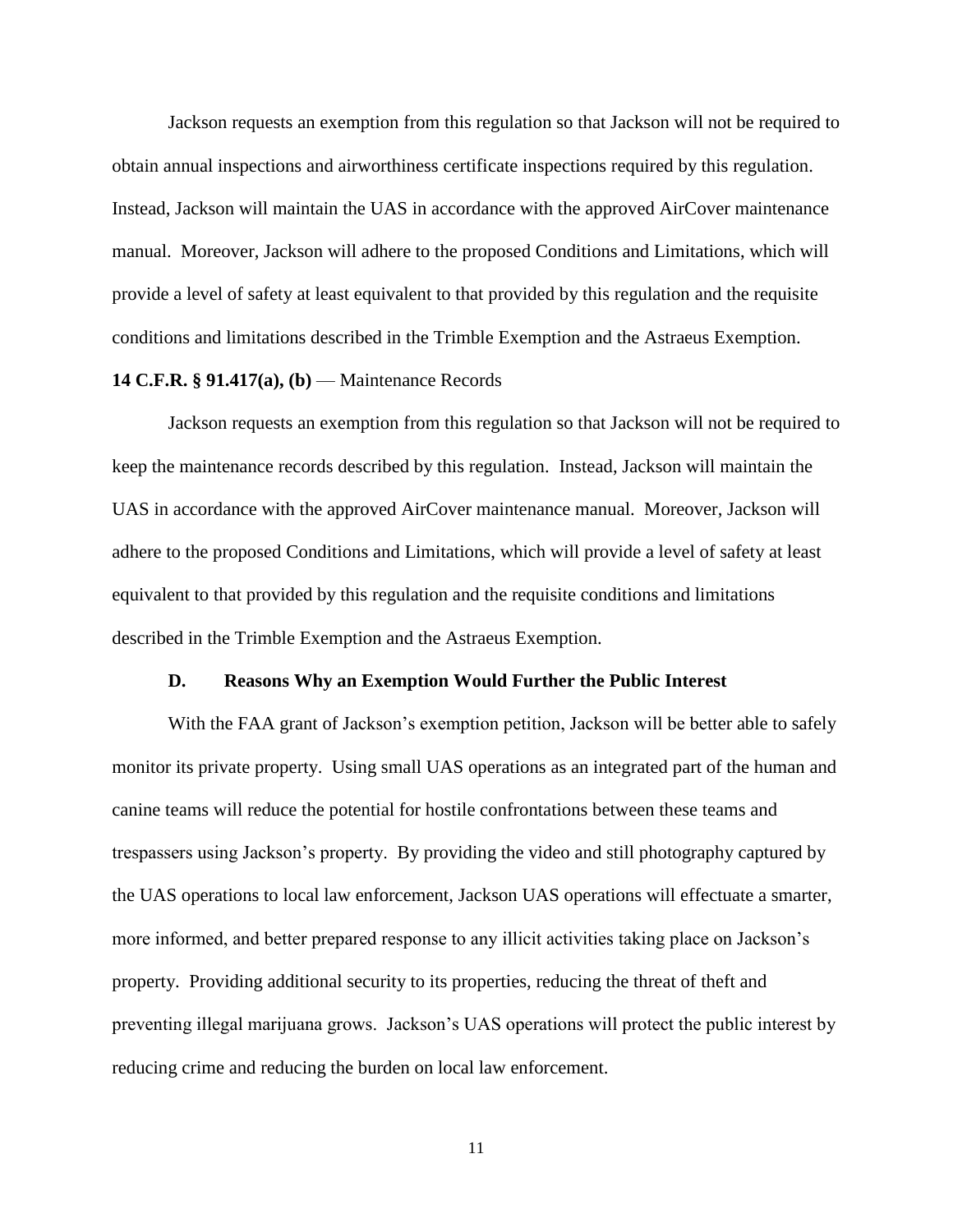Jackson requests an exemption from this regulation so that Jackson will not be required to obtain annual inspections and airworthiness certificate inspections required by this regulation. Instead, Jackson will maintain the UAS in accordance with the approved AirCover maintenance manual. Moreover, Jackson will adhere to the proposed Conditions and Limitations, which will provide a level of safety at least equivalent to that provided by this regulation and the requisite conditions and limitations described in the Trimble Exemption and the Astraeus Exemption.

# **14 C.F.R. § 91.417(a), (b)** — Maintenance Records

Jackson requests an exemption from this regulation so that Jackson will not be required to keep the maintenance records described by this regulation. Instead, Jackson will maintain the UAS in accordance with the approved AirCover maintenance manual. Moreover, Jackson will adhere to the proposed Conditions and Limitations, which will provide a level of safety at least equivalent to that provided by this regulation and the requisite conditions and limitations described in the Trimble Exemption and the Astraeus Exemption.

## **D. Reasons Why an Exemption Would Further the Public Interest**

With the FAA grant of Jackson's exemption petition, Jackson will be better able to safely monitor its private property. Using small UAS operations as an integrated part of the human and canine teams will reduce the potential for hostile confrontations between these teams and trespassers using Jackson's property. By providing the video and still photography captured by the UAS operations to local law enforcement, Jackson UAS operations will effectuate a smarter, more informed, and better prepared response to any illicit activities taking place on Jackson's property. Providing additional security to its properties, reducing the threat of theft and preventing illegal marijuana grows. Jackson's UAS operations will protect the public interest by reducing crime and reducing the burden on local law enforcement.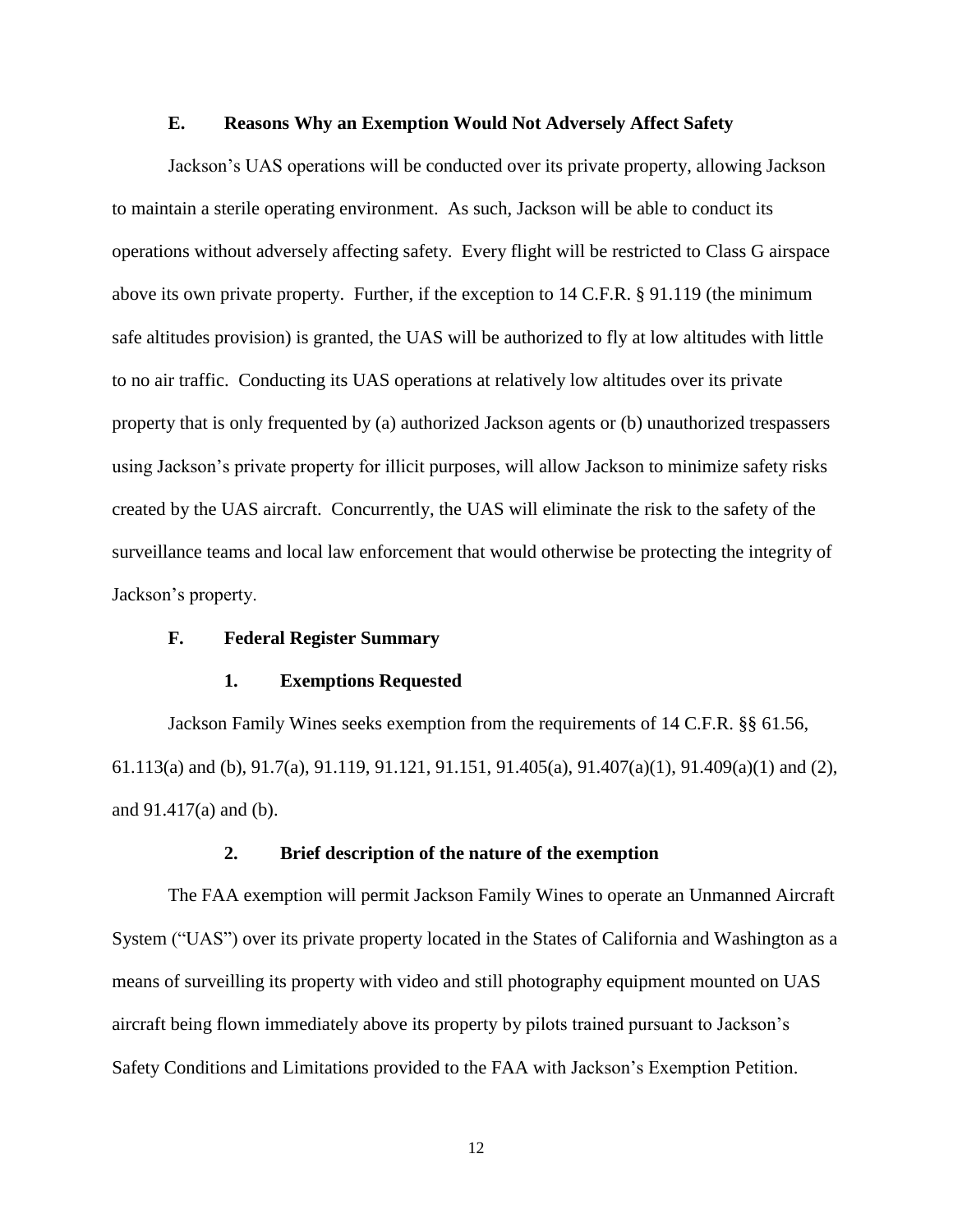# **E. Reasons Why an Exemption Would Not Adversely Affect Safety**

Jackson's UAS operations will be conducted over its private property, allowing Jackson to maintain a sterile operating environment. As such, Jackson will be able to conduct its operations without adversely affecting safety. Every flight will be restricted to Class G airspace above its own private property. Further, if the exception to 14 C.F.R. § 91.119 (the minimum safe altitudes provision) is granted, the UAS will be authorized to fly at low altitudes with little to no air traffic. Conducting its UAS operations at relatively low altitudes over its private property that is only frequented by (a) authorized Jackson agents or (b) unauthorized trespassers using Jackson's private property for illicit purposes, will allow Jackson to minimize safety risks created by the UAS aircraft. Concurrently, the UAS will eliminate the risk to the safety of the surveillance teams and local law enforcement that would otherwise be protecting the integrity of Jackson's property.

# **F. Federal Register Summary**

## **1. Exemptions Requested**

Jackson Family Wines seeks exemption from the requirements of 14 C.F.R. §§ 61.56, 61.113(a) and (b), 91.7(a), 91.119, 91.121, 91.151, 91.405(a), 91.407(a)(1), 91.409(a)(1) and (2), and 91.417(a) and (b).

#### **2. Brief description of the nature of the exemption**

The FAA exemption will permit Jackson Family Wines to operate an Unmanned Aircraft System ("UAS") over its private property located in the States of California and Washington as a means of surveilling its property with video and still photography equipment mounted on UAS aircraft being flown immediately above its property by pilots trained pursuant to Jackson's Safety Conditions and Limitations provided to the FAA with Jackson's Exemption Petition.